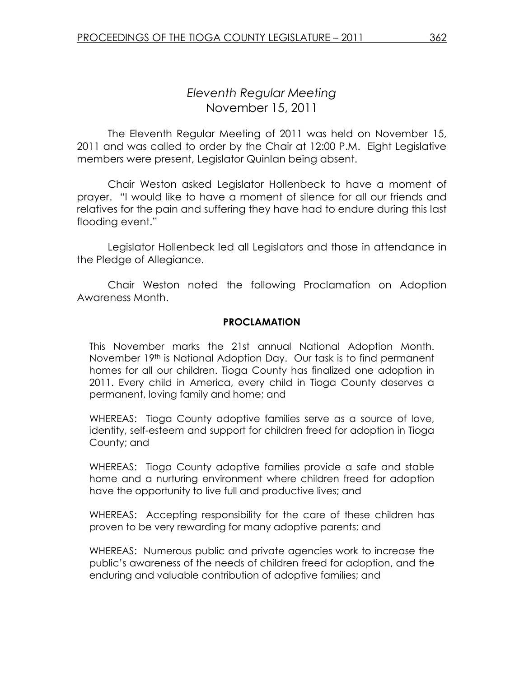# Eleventh Regular Meeting November 15, 2011

 The Eleventh Regular Meeting of 2011 was held on November 15, 2011 and was called to order by the Chair at 12:00 P.M. Eight Legislative members were present, Legislator Quinlan being absent.

Chair Weston asked Legislator Hollenbeck to have a moment of prayer. "I would like to have a moment of silence for all our friends and relatives for the pain and suffering they have had to endure during this last flooding event."

 Legislator Hollenbeck led all Legislators and those in attendance in the Pledge of Allegiance.

 Chair Weston noted the following Proclamation on Adoption Awareness Month.

#### PROCLAMATION

This November marks the 21st annual National Adoption Month. November 19th is National Adoption Day. Our task is to find permanent homes for all our children. Tioga County has finalized one adoption in 2011. Every child in America, every child in Tioga County deserves a permanent, loving family and home; and

WHEREAS: Tioga County adoptive families serve as a source of love, identity, self-esteem and support for children freed for adoption in Tioga County; and

WHEREAS: Tioga County adoptive families provide a safe and stable home and a nurturing environment where children freed for adoption have the opportunity to live full and productive lives; and

WHEREAS: Accepting responsibility for the care of these children has proven to be very rewarding for many adoptive parents; and

WHEREAS: Numerous public and private agencies work to increase the public's awareness of the needs of children freed for adoption, and the enduring and valuable contribution of adoptive families; and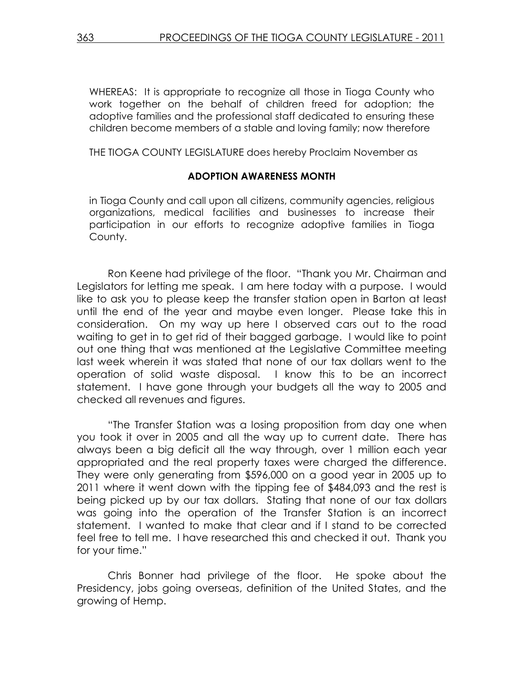WHEREAS: It is appropriate to recognize all those in Tioga County who work together on the behalf of children freed for adoption; the adoptive families and the professional staff dedicated to ensuring these children become members of a stable and loving family; now therefore

THE TIOGA COUNTY LEGISLATURE does hereby Proclaim November as

#### ADOPTION AWARENESS MONTH

in Tioga County and call upon all citizens, community agencies, religious organizations, medical facilities and businesses to increase their participation in our efforts to recognize adoptive families in Tioga County.

 Ron Keene had privilege of the floor. "Thank you Mr. Chairman and Legislators for letting me speak. I am here today with a purpose. I would like to ask you to please keep the transfer station open in Barton at least until the end of the year and maybe even longer. Please take this in consideration. On my way up here I observed cars out to the road waiting to get in to get rid of their bagged garbage. I would like to point out one thing that was mentioned at the Legislative Committee meeting last week wherein it was stated that none of our tax dollars went to the operation of solid waste disposal. I know this to be an incorrect statement. I have gone through your budgets all the way to 2005 and checked all revenues and figures.

"The Transfer Station was a losing proposition from day one when you took it over in 2005 and all the way up to current date. There has always been a big deficit all the way through, over 1 million each year appropriated and the real property taxes were charged the difference. They were only generating from \$596,000 on a good year in 2005 up to 2011 where it went down with the tipping fee of \$484,093 and the rest is being picked up by our tax dollars. Stating that none of our tax dollars was going into the operation of the Transfer Station is an incorrect statement. I wanted to make that clear and if I stand to be corrected feel free to tell me. I have researched this and checked it out. Thank you for your time."

 Chris Bonner had privilege of the floor. He spoke about the Presidency, jobs going overseas, definition of the United States, and the growing of Hemp.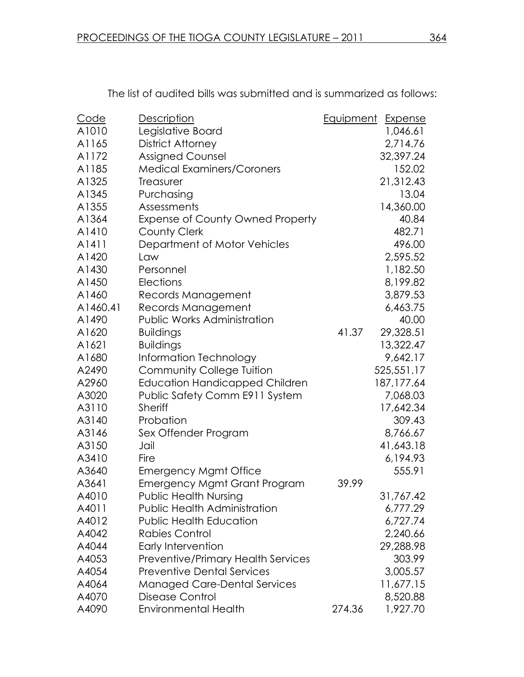| <u>Code</u> | <b>Description</b>                        | Equipment | <b>Expense</b> |
|-------------|-------------------------------------------|-----------|----------------|
| A1010       | Legislative Board                         |           | 1,046.61       |
| A1165       | <b>District Attorney</b>                  |           | 2,714.76       |
| A1172       | <b>Assigned Counsel</b>                   |           | 32,397.24      |
| A1185       | <b>Medical Examiners/Coroners</b>         |           | 152.02         |
| A1325       | Treasurer                                 |           | 21,312.43      |
| A1345       | Purchasing                                |           | 13.04          |
| A1355       | Assessments                               |           | 14,360.00      |
| A1364       | <b>Expense of County Owned Property</b>   |           | 40.84          |
| A1410       | <b>County Clerk</b>                       |           | 482.71         |
| A1411       | Department of Motor Vehicles              |           | 496.00         |
| A1420       | Law                                       |           | 2,595.52       |
| A1430       | Personnel                                 |           | 1,182.50       |
| A1450       | Elections                                 |           | 8,199.82       |
| A1460       | Records Management                        |           | 3,879.53       |
| A1460.41    | Records Management                        |           | 6,463.75       |
| A1490       | Public Works Administration               |           | 40.00          |
| A1620       | <b>Buildings</b>                          | 41.37     | 29,328.51      |
| A1621       | <b>Buildings</b>                          |           | 13,322.47      |
| A1680       | Information Technology                    |           | 9,642.17       |
| A2490       | Community College Tuition                 |           | 525,551.17     |
| A2960       | <b>Education Handicapped Children</b>     |           | 187, 177.64    |
| A3020       | Public Safety Comm E911 System            |           | 7,068.03       |
| A3110       | <b>Sheriff</b>                            |           | 17,642.34      |
| A3140       | Probation                                 |           | 309.43         |
| A3146       | Sex Offender Program                      |           | 8,766.67       |
| A3150       | Jail                                      |           | 41,643.18      |
| A3410       | Fire                                      |           | 6,194.93       |
| A3640       | <b>Emergency Mgmt Office</b>              |           | 555.91         |
| A3641       | <b>Emergency Mgmt Grant Program</b>       | 39.99     |                |
| A4010       | <b>Public Health Nursing</b>              |           | 31,767.42      |
| A4011       | <b>Public Health Administration</b>       |           | 6,777.29       |
| A4012       | <b>Public Health Education</b>            |           | 6,727.74       |
| A4042       | <b>Rabies Control</b>                     |           | 2,240.66       |
| A4044       | Early Intervention                        |           | 29,288.98      |
| A4053       | <b>Preventive/Primary Health Services</b> |           | 303.99         |
| A4054       | <b>Preventive Dental Services</b>         |           | 3,005.57       |
| A4064       | <b>Managed Care-Dental Services</b>       |           | 11,677.15      |
| A4070       | Disease Control                           |           | 8,520.88       |
| A4090       | <b>Environmental Health</b>               | 274.36    | 1,927.70       |

The list of audited bills was submitted and is summarized as follows: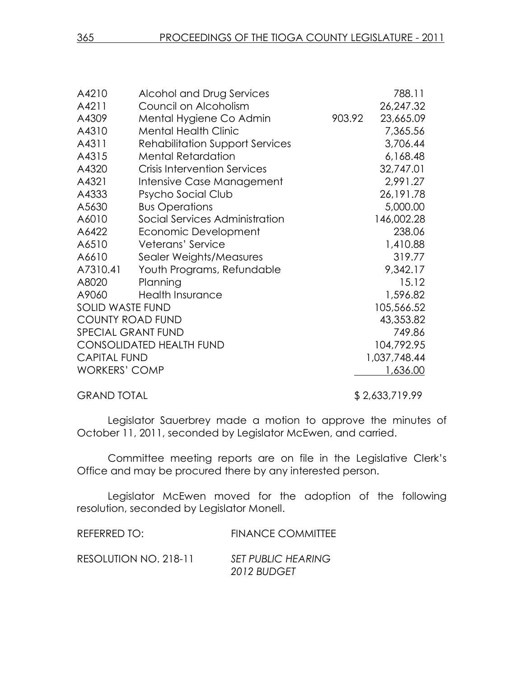| A4210                   | Alcohol and Drug Services              |        | 788.11       |
|-------------------------|----------------------------------------|--------|--------------|
| A4211                   | Council on Alcoholism                  |        | 26,247.32    |
| A4309                   | Mental Hygiene Co Admin                | 903.92 | 23,665.09    |
| A4310                   | <b>Mental Health Clinic</b>            |        | 7,365.56     |
| A4311                   | <b>Rehabilitation Support Services</b> |        | 3,706.44     |
| A4315                   | <b>Mental Retardation</b>              |        | 6,168.48     |
| A4320                   | <b>Crisis Intervention Services</b>    |        | 32,747.01    |
| A4321                   | Intensive Case Management              |        | 2,991.27     |
| A4333                   | Psycho Social Club                     |        | 26, 191. 78  |
| A5630                   | <b>Bus Operations</b>                  |        | 5,000.00     |
| A6010                   | Social Services Administration         |        | 146,002.28   |
| A6422                   | Economic Development                   |        | 238.06       |
| A6510                   | Veterans' Service                      |        | 1,410.88     |
| A6610                   | Sealer Weights/Measures                |        | 319.77       |
| A7310.41                | Youth Programs, Refundable             |        | 9,342.17     |
| A8020                   | Planning                               |        | 15.12        |
| A9060                   | <b>Health Insurance</b>                |        | 1,596.82     |
| <b>SOLID WASTE FUND</b> |                                        |        | 105,566.52   |
| <b>COUNTY ROAD FUND</b> |                                        |        | 43,353.82    |
|                         | <b>SPECIAL GRANT FUND</b>              |        | 749.86       |
|                         | <b>CONSOLIDATED HEALTH FUND</b>        |        | 104,792.95   |
| <b>CAPITAL FUND</b>     |                                        |        | 1,037,748.44 |
| <b>WORKERS' COMP</b>    |                                        |        | 1,636.00     |
|                         |                                        |        |              |

GRAND TOTAL \$2,633,719.99

Legislator Sauerbrey made a motion to approve the minutes of October 11, 2011, seconded by Legislator McEwen, and carried.

Committee meeting reports are on file in the Legislative Clerk's Office and may be procured there by any interested person.

 Legislator McEwen moved for the adoption of the following resolution, seconded by Legislator Monell.

| REFERRED TO:          | <b>FINANCE COMMITTEE</b>  |
|-----------------------|---------------------------|
| RESOLUTION NO. 218-11 | <b>SET PUBLIC HEARING</b> |
|                       | 2012 BUDGET               |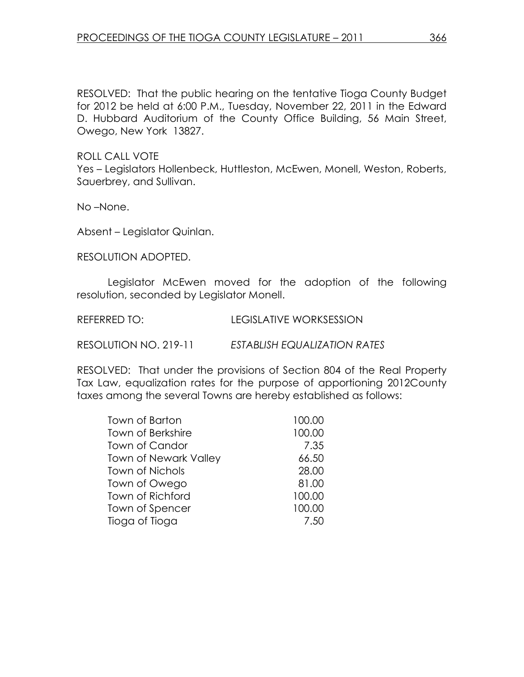RESOLVED: That the public hearing on the tentative Tioga County Budget for 2012 be held at 6:00 P.M., Tuesday, November 22, 2011 in the Edward D. Hubbard Auditorium of the County Office Building, 56 Main Street, Owego, New York 13827.

ROLL CALL VOTE

Yes – Legislators Hollenbeck, Huttleston, McEwen, Monell, Weston, Roberts, Sauerbrey, and Sullivan.

No –None.

Absent – Legislator Quinlan.

RESOLUTION ADOPTED.

 Legislator McEwen moved for the adoption of the following resolution, seconded by Legislator Monell.

REFERRED TO: LEGISLATIVE WORKSESSION

RESOLUTION NO. 219-11 ESTABLISH EQUALIZATION RATES

RESOLVED: That under the provisions of Section 804 of the Real Property Tax Law, equalization rates for the purpose of apportioning 2012County taxes among the several Towns are hereby established as follows:

| Town of Barton               | 100.00 |
|------------------------------|--------|
| Town of Berkshire            | 100.00 |
| Town of Candor               | 7.35   |
| <b>Town of Newark Valley</b> | 66.50  |
| <b>Town of Nichols</b>       | 28.00  |
| Town of Owego                | 81.00  |
| Town of Richford             | 100.00 |
| Town of Spencer              | 100.00 |
| Tioga of Tioga               | 7.50   |
|                              |        |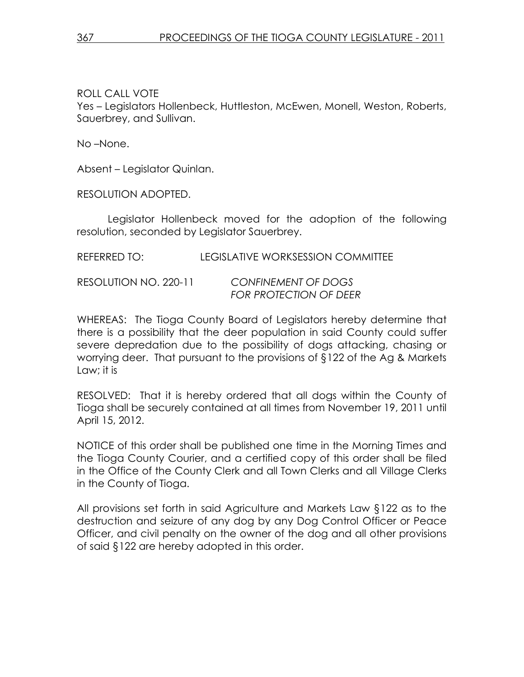ROLL CALL VOTE Yes – Legislators Hollenbeck, Huttleston, McEwen, Monell, Weston, Roberts, Sauerbrey, and Sullivan.

No –None.

Absent – Legislator Quinlan.

RESOLUTION ADOPTED.

 Legislator Hollenbeck moved for the adoption of the following resolution, seconded by Legislator Sauerbrey.

REFERRED TO: LEGISLATIVE WORKSESSION COMMITTEE

RESOLUTION NO. 220-11 CONFINEMENT OF DOGS FOR PROTECTION OF DEER

WHEREAS: The Tioga County Board of Legislators hereby determine that there is a possibility that the deer population in said County could suffer severe depredation due to the possibility of dogs attacking, chasing or worrying deer. That pursuant to the provisions of §122 of the Ag & Markets Law; it is

RESOLVED: That it is hereby ordered that all dogs within the County of Tioga shall be securely contained at all times from November 19, 2011 until April 15, 2012.

NOTICE of this order shall be published one time in the Morning Times and the Tioga County Courier, and a certified copy of this order shall be filed in the Office of the County Clerk and all Town Clerks and all Village Clerks in the County of Tioga.

All provisions set forth in said Agriculture and Markets Law §122 as to the destruction and seizure of any dog by any Dog Control Officer or Peace Officer, and civil penalty on the owner of the dog and all other provisions of said §122 are hereby adopted in this order.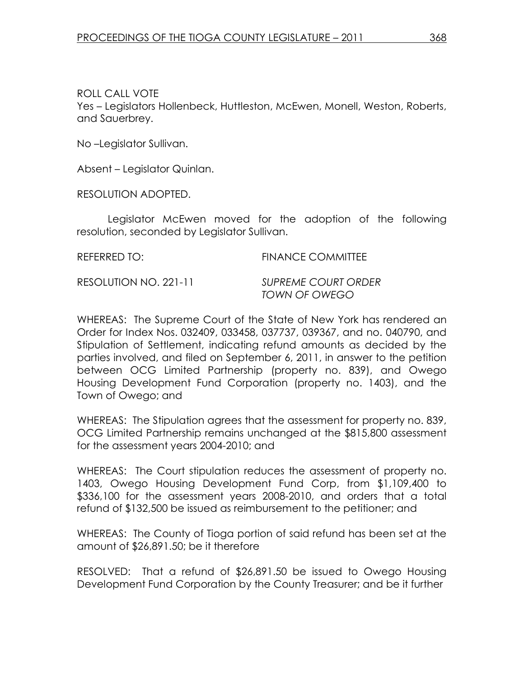ROLL CALL VOTE

Yes – Legislators Hollenbeck, Huttleston, McEwen, Monell, Weston, Roberts, and Sauerbrey.

No –Legislator Sullivan.

Absent – Legislator Quinlan.

RESOLUTION ADOPTED.

 Legislator McEwen moved for the adoption of the following resolution, seconded by Legislator Sullivan.

REFERRED TO: FINANCE COMMITTEE

RESOLUTION NO. 221-11 SUPREME COURT ORDER

TOWN OF OWEGO

WHEREAS: The Supreme Court of the State of New York has rendered an Order for Index Nos. 032409, 033458, 037737, 039367, and no. 040790, and Stipulation of Settlement, indicating refund amounts as decided by the parties involved, and filed on September 6, 2011, in answer to the petition between OCG Limited Partnership (property no. 839), and Owego Housing Development Fund Corporation (property no. 1403), and the Town of Owego; and

WHEREAS: The Stipulation agrees that the assessment for property no. 839, OCG Limited Partnership remains unchanged at the \$815,800 assessment for the assessment years 2004-2010; and

WHEREAS: The Court stipulation reduces the assessment of property no. 1403, Owego Housing Development Fund Corp, from \$1,109,400 to \$336,100 for the assessment years 2008-2010, and orders that a total refund of \$132,500 be issued as reimbursement to the petitioner; and

WHEREAS: The County of Tioga portion of said refund has been set at the amount of \$26,891.50; be it therefore

RESOLVED: That a refund of \$26,891.50 be issued to Owego Housing Development Fund Corporation by the County Treasurer; and be it further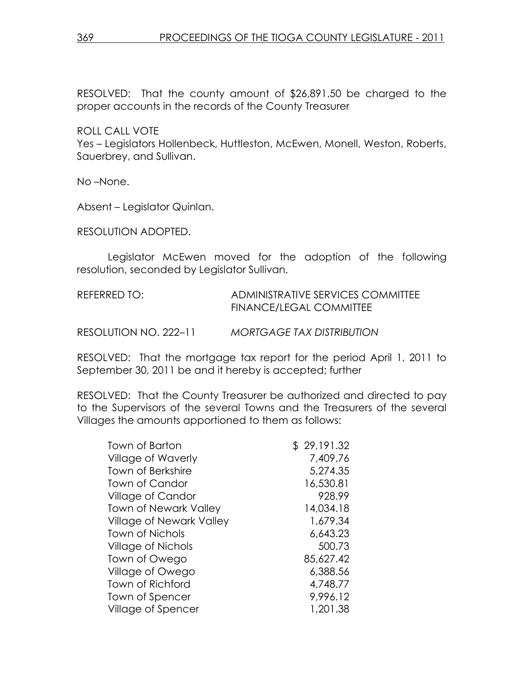RESOLVED: That the county amount of \$26,891.50 be charged to the proper accounts in the records of the County Treasurer

ROLL CALL VOTE

Yes – Legislators Hollenbeck, Huttleston, McEwen, Monell, Weston, Roberts, Sauerbrey, and Sullivan.

No –None.

Absent – Legislator Quinlan.

RESOLUTION ADOPTED.

 Legislator McEwen moved for the adoption of the following resolution, seconded by Legislator Sullivan.

| REFERRED TO:          | ADMINISTRATIVE SERVICES COMMITTEE<br>FINANCE/LEGAL COMMITTEE |
|-----------------------|--------------------------------------------------------------|
| RESOLUTION NO. 222–11 | <b>MORTGAGE TAX DISTRIBUTION</b>                             |

RESOLVED: That the mortgage tax report for the period April 1, 2011 to September 30, 2011 be and it hereby is accepted; further

RESOLVED: That the County Treasurer be authorized and directed to pay to the Supervisors of the several Towns and the Treasurers of the several Villages the amounts apportioned to them as follows:

| <b>Town of Barton</b>           | \$29,191.32 |
|---------------------------------|-------------|
| <b>Village of Waverly</b>       | 7,409.76    |
| <b>Town of Berkshire</b>        | 5,274.35    |
| Town of Candor                  | 16,530.81   |
| Village of Candor               | 928.99      |
| <b>Town of Newark Valley</b>    | 14,034.18   |
| <b>Village of Newark Valley</b> | 1,679.34    |
| <b>Town of Nichols</b>          | 6,643.23    |
| Village of Nichols              | 500.73      |
| Town of Owego                   | 85,627.42   |
| Village of Owego                | 6,388.56    |
| Town of Richford                | 4,748.77    |
| Town of Spencer                 | 9,996.12    |
| Village of Spencer              | 1,201.38    |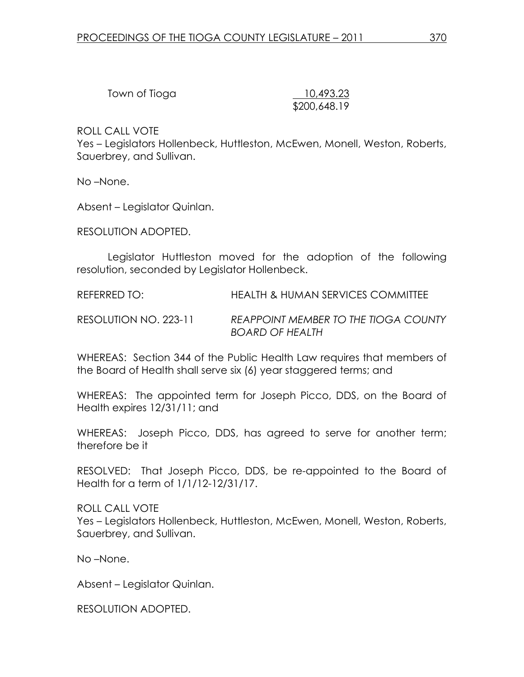| Town of Tioga |  |
|---------------|--|
|---------------|--|

10,493.23 \$200,648.19

ROLL CALL VOTE

Yes – Legislators Hollenbeck, Huttleston, McEwen, Monell, Weston, Roberts, Sauerbrey, and Sullivan.

No –None.

Absent – Legislator Quinlan.

RESOLUTION ADOPTED.

 Legislator Huttleston moved for the adoption of the following resolution, seconded by Legislator Hollenbeck.

REFERRED TO: HEALTH & HUMAN SERVICES COMMITTEE

RESOLUTION NO. 223-11 REAPPOINT MEMBER TO THE TIOGA COUNTY BOARD OF HEALTH

WHEREAS: Section 344 of the Public Health Law requires that members of the Board of Health shall serve six (6) year staggered terms; and

WHEREAS: The appointed term for Joseph Picco, DDS, on the Board of Health expires 12/31/11; and

WHEREAS: Joseph Picco, DDS, has agreed to serve for another term; therefore be it

RESOLVED: That Joseph Picco, DDS, be re-appointed to the Board of Health for a term of 1/1/12-12/31/17.

ROLL CALL VOTE Yes – Legislators Hollenbeck, Huttleston, McEwen, Monell, Weston, Roberts, Sauerbrey, and Sullivan.

No –None.

Absent – Legislator Quinlan.

RESOLUTION ADOPTED.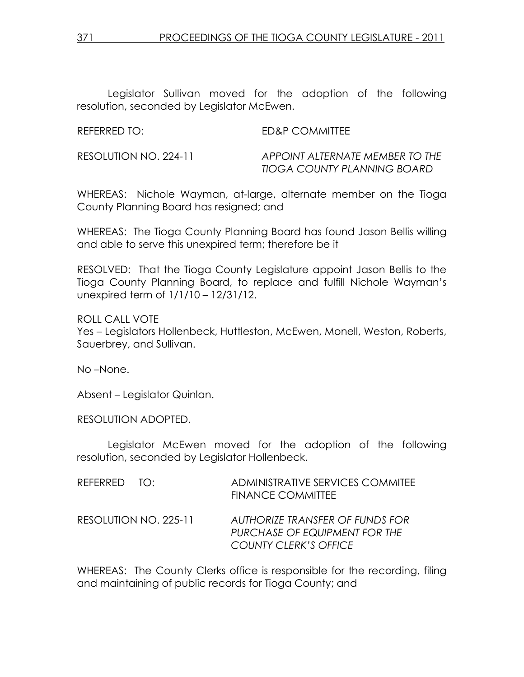Legislator Sullivan moved for the adoption of the following resolution, seconded by Legislator McEwen.

| <b>REFERRED TO:</b> | <b>ED&amp;P COMMITTEE</b> |
|---------------------|---------------------------|
|                     |                           |

RESOLUTION NO. 224-11 APPOINT ALTERNATE MEMBER TO THE TIOGA COUNTY PLANNING BOARD

WHEREAS: Nichole Wayman, at-large, alternate member on the Tioga County Planning Board has resigned; and

WHEREAS: The Tioga County Planning Board has found Jason Bellis willing and able to serve this unexpired term; therefore be it

RESOLVED: That the Tioga County Legislature appoint Jason Bellis to the Tioga County Planning Board, to replace and fulfill Nichole Wayman's unexpired term of 1/1/10 – 12/31/12.

ROLL CALL VOTE Yes – Legislators Hollenbeck, Huttleston, McEwen, Monell, Weston, Roberts, Sauerbrey, and Sullivan.

No –None.

Absent – Legislator Quinlan.

RESOLUTION ADOPTED.

 Legislator McEwen moved for the adoption of the following resolution, seconded by Legislator Hollenbeck.

| REFERRED TO:          | ADMINISTRATIVE SERVICES COMMITEE<br><b>FINANCE COMMITTEE</b>                                     |
|-----------------------|--------------------------------------------------------------------------------------------------|
| RESOLUTION NO. 225-11 | AUTHORIZE TRANSFER OF FUNDS FOR<br>PURCHASE OF EQUIPMENT FOR THE<br><b>COUNTY CLERK'S OFFICE</b> |

WHEREAS: The County Clerks office is responsible for the recording, filing and maintaining of public records for Tioga County; and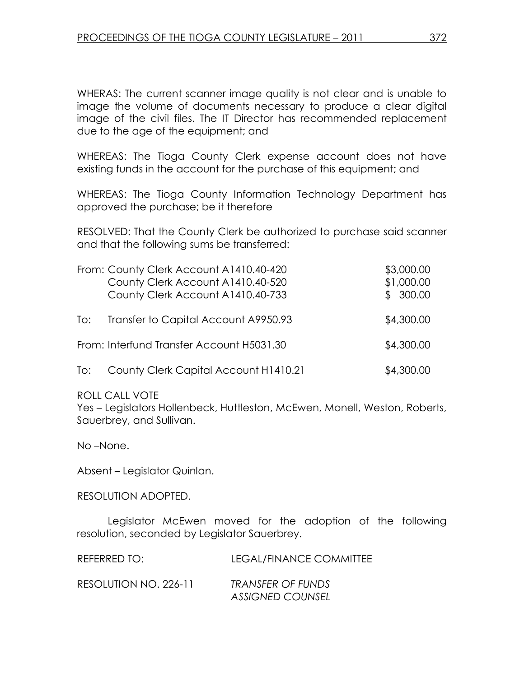WHERAS: The current scanner image quality is not clear and is unable to image the volume of documents necessary to produce a clear digital image of the civil files. The IT Director has recommended replacement due to the age of the equipment; and

WHEREAS: The Tioga County Clerk expense account does not have existing funds in the account for the purchase of this equipment; and

WHEREAS: The Tioga County Information Technology Department has approved the purchase; be it therefore

RESOLVED: That the County Clerk be authorized to purchase said scanner and that the following sums be transferred:

|     | From: County Clerk Account A1410.40-420<br>County Clerk Account A1410.40-520<br>County Clerk Account A1410.40-733 | \$3,000.00<br>\$1,000.00<br>\$300.00 |
|-----|-------------------------------------------------------------------------------------------------------------------|--------------------------------------|
| To: | Transfer to Capital Account A9950.93                                                                              | \$4,300.00                           |
|     | From: Interfund Transfer Account H5031.30                                                                         | \$4,300.00                           |
| To: | County Clerk Capital Account H1410.21                                                                             | \$4,300.00                           |

ROLL CALL VOTE

Yes – Legislators Hollenbeck, Huttleston, McEwen, Monell, Weston, Roberts, Sauerbrey, and Sullivan.

No –None.

Absent – Legislator Quinlan.

RESOLUTION ADOPTED.

 Legislator McEwen moved for the adoption of the following resolution, seconded by Legislator Sauerbrey.

| REFERRED TO:          | LEGAL/FINANCE COMMITTEE                             |
|-----------------------|-----------------------------------------------------|
| RESOLUTION NO. 226-11 | <b>TRANSFER OF FUNDS</b><br><b>ASSIGNED COUNSEL</b> |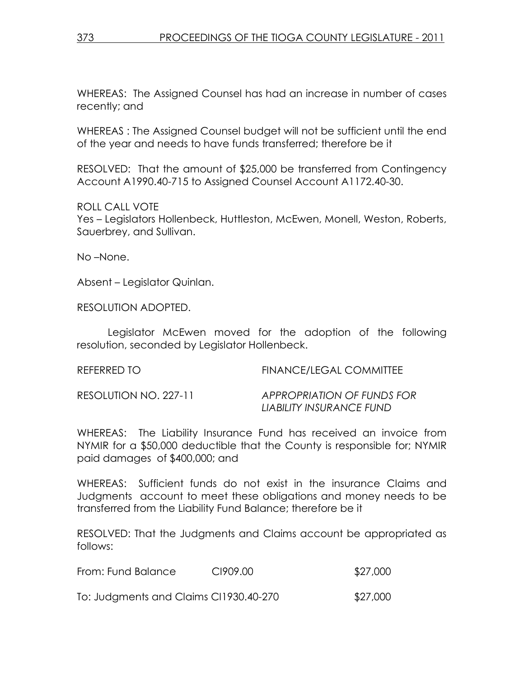WHEREAS: The Assigned Counsel has had an increase in number of cases recently; and

WHEREAS : The Assigned Counsel budget will not be sufficient until the end of the year and needs to have funds transferred; therefore be it

RESOLVED: That the amount of \$25,000 be transferred from Contingency Account A1990.40-715 to Assigned Counsel Account A1172.40-30.

ROLL CALL VOTE Yes – Legislators Hollenbeck, Huttleston, McEwen, Monell, Weston, Roberts, Sauerbrey, and Sullivan.

No –None.

Absent – Legislator Quinlan.

RESOLUTION ADOPTED.

 Legislator McEwen moved for the adoption of the following resolution, seconded by Legislator Hollenbeck.

REFERRED TO **FINANCE/LEGAL COMMITTEE** RESOLUTION NO. 227-11 APPROPRIATION OF FUNDS FOR LIABILITY INSURANCE FUND

WHEREAS: The Liability Insurance Fund has received an invoice from NYMIR for a \$50,000 deductible that the County is responsible for; NYMIR paid damages of \$400,000; and

WHEREAS: Sufficient funds do not exist in the insurance Claims and Judgments account to meet these obligations and money needs to be transferred from the Liability Fund Balance; therefore be it

RESOLVED: That the Judgments and Claims account be appropriated as follows:

From: Fund Balance CI909.00 \$27,000

To: Judgments and Claims CI1930.40-270 \$27,000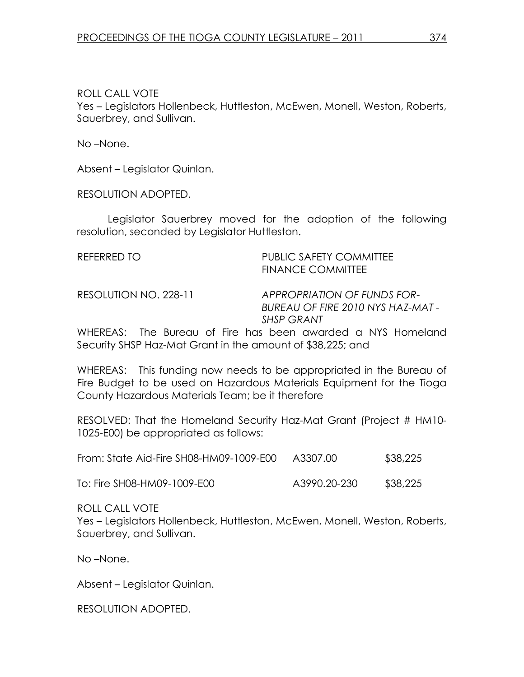ROLL CALL VOTE

Yes – Legislators Hollenbeck, Huttleston, McEwen, Monell, Weston, Roberts, Sauerbrey, and Sullivan.

No –None.

Absent – Legislator Quinlan.

RESOLUTION ADOPTED.

 Legislator Sauerbrey moved for the adoption of the following resolution, seconded by Legislator Huttleston.

REFERRED TO **PUBLIC SAFETY COMMITTEE**  FINANCE COMMITTEE RESOLUTION NO. 228-11 APPROPRIATION OF FUNDS FOR-

BUREAU OF FIRE 2010 NYS HAZ-MAT - SHSP GRANT

WHEREAS: The Bureau of Fire has been awarded a NYS Homeland Security SHSP Haz-Mat Grant in the amount of \$38,225; and

WHEREAS: This funding now needs to be appropriated in the Bureau of Fire Budget to be used on Hazardous Materials Equipment for the Tioga County Hazardous Materials Team; be it therefore

RESOLVED: That the Homeland Security Haz-Mat Grant (Project # HM10- 1025-E00) be appropriated as follows:

| From: State Aid-Fire SH08-HM09-1009-E00 | A3307.00 | \$38,225 |
|-----------------------------------------|----------|----------|
|-----------------------------------------|----------|----------|

To: Fire SH08-HM09-1009-E00 A3990.20-230 \$38,225

ROLL CALL VOTE

Yes – Legislators Hollenbeck, Huttleston, McEwen, Monell, Weston, Roberts, Sauerbrey, and Sullivan.

No –None.

Absent – Legislator Quinlan.

RESOLUTION ADOPTED.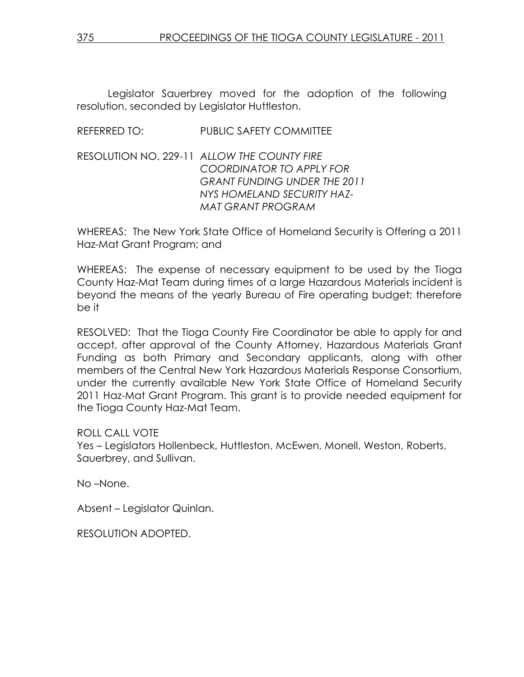Legislator Sauerbrey moved for the adoption of the following resolution, seconded by Legislator Huttleston.

## REFERRED TO: PUBLIC SAFETY COMMITTEE

RESOLUTION NO. 229-11 ALLOW THE COUNTY FIRE COORDINATOR TO APPLY FOR GRANT FUNDING UNDER THE 2011 NYS HOMELAND SECURITY HAZ-MAT GRANT PROGRAM

WHEREAS: The New York State Office of Homeland Security is Offering a 2011 Haz-Mat Grant Program; and

WHEREAS: The expense of necessary equipment to be used by the Tioga County Haz-Mat Team during times of a large Hazardous Materials incident is beyond the means of the yearly Bureau of Fire operating budget; therefore be it

RESOLVED: That the Tioga County Fire Coordinator be able to apply for and accept, after approval of the County Attorney, Hazardous Materials Grant Funding as both Primary and Secondary applicants, along with other members of the Central New York Hazardous Materials Response Consortium, under the currently available New York State Office of Homeland Security 2011 Haz-Mat Grant Program. This grant is to provide needed equipment for the Tioga County Haz-Mat Team.

ROLL CALL VOTE

Yes – Legislators Hollenbeck, Huttleston, McEwen, Monell, Weston, Roberts, Sauerbrey, and Sullivan.

No –None.

Absent – Legislator Quinlan.

RESOLUTION ADOPTED.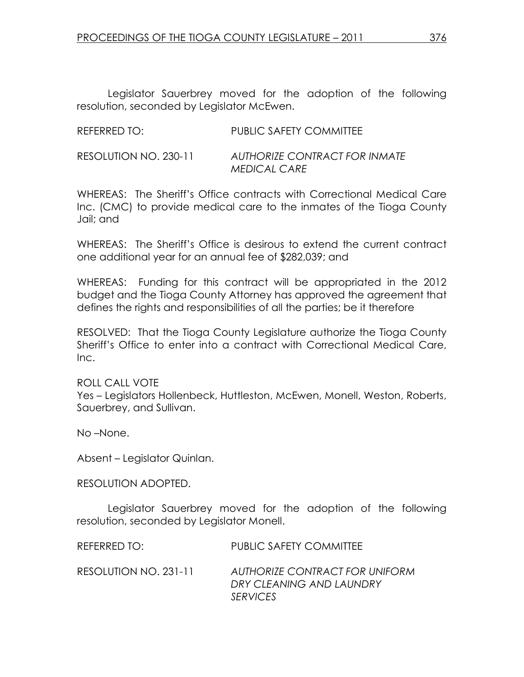Legislator Sauerbrey moved for the adoption of the following resolution, seconded by Legislator McEwen.

| REFERRED TO:          | <b>PUBLIC SAFETY COMMITTEE</b>                       |
|-----------------------|------------------------------------------------------|
| RESOLUTION NO. 230-11 | AUTHORIZE CONTRACT FOR INMATE<br><b>MEDICAL CARE</b> |

WHEREAS: The Sheriff's Office contracts with Correctional Medical Care Inc. (CMC) to provide medical care to the inmates of the Tioga County Jail; and

WHEREAS: The Sheriff's Office is desirous to extend the current contract one additional year for an annual fee of \$282,039; and

WHEREAS: Funding for this contract will be appropriated in the 2012 budget and the Tioga County Attorney has approved the agreement that defines the rights and responsibilities of all the parties; be it therefore

RESOLVED: That the Tioga County Legislature authorize the Tioga County Sheriff's Office to enter into a contract with Correctional Medical Care, Inc.

ROLL CALL VOTE Yes – Legislators Hollenbeck, Huttleston, McEwen, Monell, Weston, Roberts, Sauerbrey, and Sullivan.

No –None.

Absent – Legislator Quinlan.

RESOLUTION ADOPTED.

 Legislator Sauerbrey moved for the adoption of the following resolution, seconded by Legislator Monell.

| REFERRED TO:          | PUBLIC SAFETY COMMITTEE                                                       |
|-----------------------|-------------------------------------------------------------------------------|
| RESOLUTION NO. 231-11 | AUTHORIZE CONTRACT FOR UNIFORM<br>DRY CLEANING AND LAUNDRY<br><b>SERVICES</b> |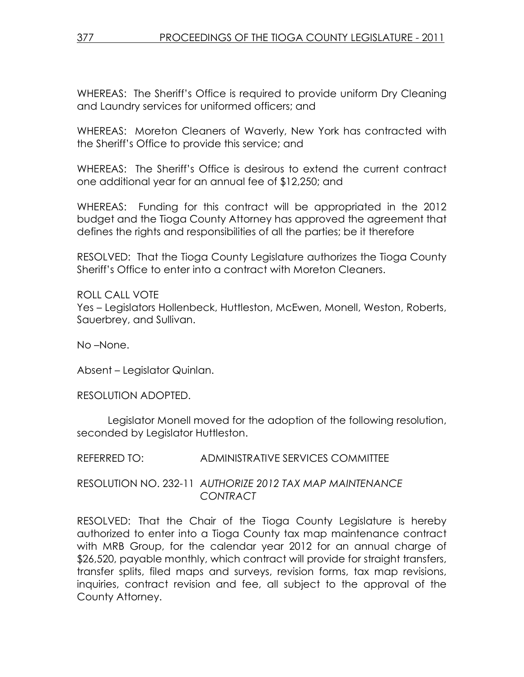WHEREAS: The Sheriff's Office is required to provide uniform Dry Cleaning and Laundry services for uniformed officers; and

WHEREAS: Moreton Cleaners of Waverly, New York has contracted with the Sheriff's Office to provide this service; and

WHEREAS: The Sheriff's Office is desirous to extend the current contract one additional year for an annual fee of \$12,250; and

WHEREAS: Funding for this contract will be appropriated in the 2012 budget and the Tioga County Attorney has approved the agreement that defines the rights and responsibilities of all the parties; be it therefore

RESOLVED: That the Tioga County Legislature authorizes the Tioga County Sheriff's Office to enter into a contract with Moreton Cleaners.

ROLL CALL VOTE Yes – Legislators Hollenbeck, Huttleston, McEwen, Monell, Weston, Roberts, Sauerbrey, and Sullivan.

No –None.

Absent – Legislator Quinlan.

RESOLUTION ADOPTED.

 Legislator Monell moved for the adoption of the following resolution, seconded by Legislator Huttleston.

REFERRED TO: ADMINISTRATIVE SERVICES COMMITTEE

RESOLUTION NO. 232-11 AUTHORIZE 2012 TAX MAP MAINTENANCE CONTRACT

RESOLVED: That the Chair of the Tioga County Legislature is hereby authorized to enter into a Tioga County tax map maintenance contract with MRB Group, for the calendar year 2012 for an annual charge of \$26,520, payable monthly, which contract will provide for straight transfers, transfer splits, filed maps and surveys, revision forms, tax map revisions, inquiries, contract revision and fee, all subject to the approval of the County Attorney.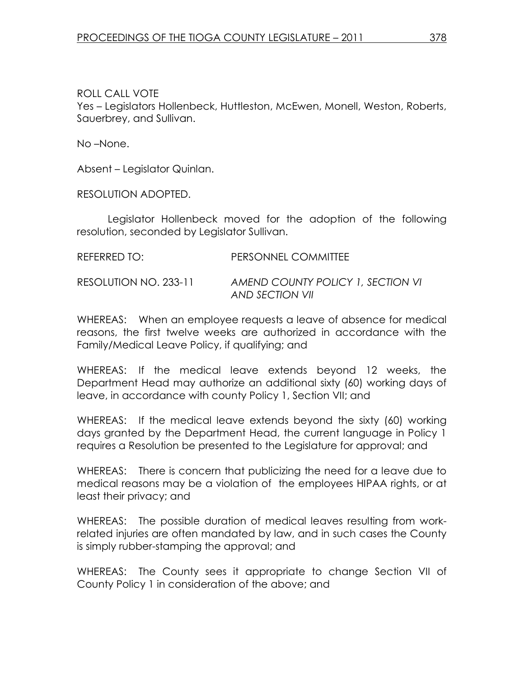## ROLL CALL VOTE

Yes – Legislators Hollenbeck, Huttleston, McEwen, Monell, Weston, Roberts, Sauerbrey, and Sullivan.

No –None.

Absent – Legislator Quinlan.

RESOLUTION ADOPTED.

 Legislator Hollenbeck moved for the adoption of the following resolution, seconded by Legislator Sullivan.

| REFERRED TO:          | PERSONNEL COMMITTEE               |
|-----------------------|-----------------------------------|
| RESOLUTION NO. 233-11 | AMEND COUNTY POLICY 1, SECTION VI |

WHEREAS: When an employee requests a leave of absence for medical reasons, the first twelve weeks are authorized in accordance with the Family/Medical Leave Policy, if qualifying; and

AND SECTION VII

WHEREAS: If the medical leave extends beyond 12 weeks, the Department Head may authorize an additional sixty (60) working days of leave, in accordance with county Policy 1, Section VII; and

WHEREAS: If the medical leave extends beyond the sixty (60) working days granted by the Department Head, the current language in Policy 1 requires a Resolution be presented to the Legislature for approval; and

WHEREAS: There is concern that publicizing the need for a leave due to medical reasons may be a violation of the employees HIPAA rights, or at least their privacy; and

WHEREAS: The possible duration of medical leaves resulting from workrelated injuries are often mandated by law, and in such cases the County is simply rubber-stamping the approval; and

WHEREAS: The County sees it appropriate to change Section VII of County Policy 1 in consideration of the above; and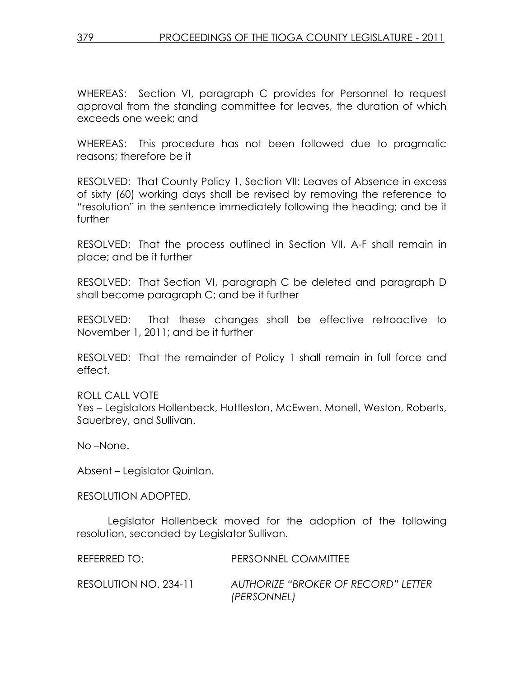WHEREAS: Section VI, paragraph C provides for Personnel to request approval from the standing committee for leaves, the duration of which exceeds one week; and

WHEREAS: This procedure has not been followed due to pragmatic reasons; therefore be it

RESOLVED: That County Policy 1, Section VII: Leaves of Absence in excess of sixty (60) working days shall be revised by removing the reference to "resolution" in the sentence immediately following the heading; and be it further

RESOLVED: That the process outlined in Section VII, A-F shall remain in place; and be it further

RESOLVED: That Section VI, paragraph C be deleted and paragraph D shall become paragraph C; and be it further

RESOLVED: That these changes shall be effective retroactive to November 1, 2011; and be it further

RESOLVED: That the remainder of Policy 1 shall remain in full force and effect.

ROLL CALL VOTE

Yes – Legislators Hollenbeck, Huttleston, McEwen, Monell, Weston, Roberts, Sauerbrey, and Sullivan.

No –None.

Absent – Legislator Quinlan.

RESOLUTION ADOPTED.

 Legislator Hollenbeck moved for the adoption of the following resolution, seconded by Legislator Sullivan.

| REFERRED TO:          | PERSONNEL COMMITTEE                                |
|-----------------------|----------------------------------------------------|
| RESOLUTION NO. 234-11 | AUTHORIZE "BROKER OF RECORD" LETTER<br>(PERSONNEL) |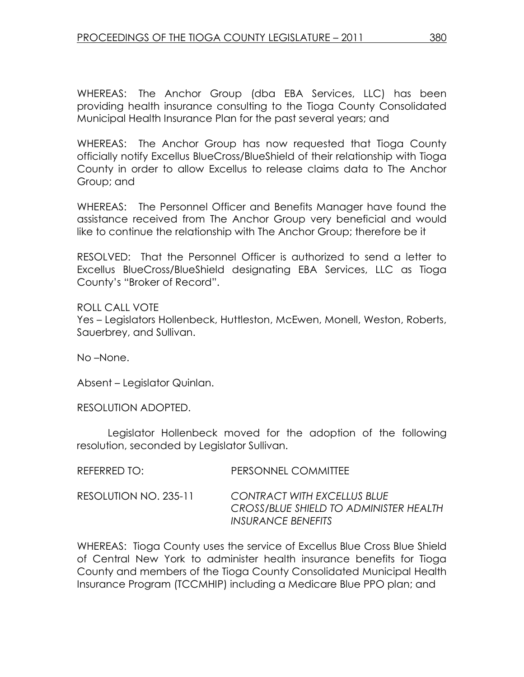WHEREAS: The Anchor Group (dba EBA Services, LLC) has been providing health insurance consulting to the Tioga County Consolidated Municipal Health Insurance Plan for the past several years; and

WHEREAS: The Anchor Group has now requested that Tioga County officially notify Excellus BlueCross/BlueShield of their relationship with Tioga County in order to allow Excellus to release claims data to The Anchor Group; and

WHEREAS: The Personnel Officer and Benefits Manager have found the assistance received from The Anchor Group very beneficial and would like to continue the relationship with The Anchor Group; therefore be it

RESOLVED: That the Personnel Officer is authorized to send a letter to Excellus BlueCross/BlueShield designating EBA Services, LLC as Tioga County's "Broker of Record".

ROLL CALL VOTE Yes – Legislators Hollenbeck, Huttleston, McEwen, Monell, Weston, Roberts, Sauerbrey, and Sullivan.

No –None.

Absent – Legislator Quinlan.

RESOLUTION ADOPTED.

 Legislator Hollenbeck moved for the adoption of the following resolution, seconded by Legislator Sullivan.

| REFERRED TO:          | PERSONNEL COMMITTEE                                                                                |
|-----------------------|----------------------------------------------------------------------------------------------------|
| RESOLUTION NO. 235-11 | <b>CONTRACT WITH EXCELLUS BLUE</b><br>CROSS/BLUE SHIELD TO ADMINISTER HEALTH<br>INSURANCE BENEFITS |

WHEREAS: Tioga County uses the service of Excellus Blue Cross Blue Shield of Central New York to administer health insurance benefits for Tioga County and members of the Tioga County Consolidated Municipal Health Insurance Program (TCCMHIP) including a Medicare Blue PPO plan; and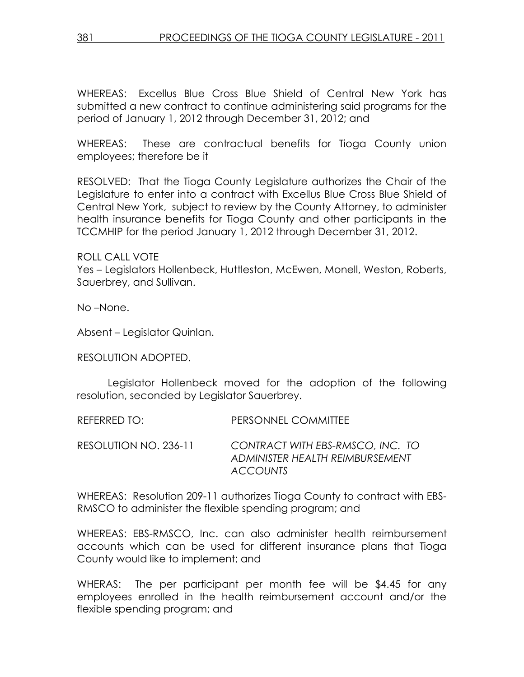WHEREAS: Excellus Blue Cross Blue Shield of Central New York has submitted a new contract to continue administering said programs for the period of January 1, 2012 through December 31, 2012; and

WHEREAS: These are contractual benefits for Tioga County union employees; therefore be it

RESOLVED: That the Tioga County Legislature authorizes the Chair of the Legislature to enter into a contract with Excellus Blue Cross Blue Shield of Central New York, subject to review by the County Attorney, to administer health insurance benefits for Tioga County and other participants in the TCCMHIP for the period January 1, 2012 through December 31, 2012.

ROLL CALL VOTE Yes – Legislators Hollenbeck, Huttleston, McEwen, Monell, Weston, Roberts, Sauerbrey, and Sullivan.

No –None.

Absent – Legislator Quinlan.

RESOLUTION ADOPTED.

 Legislator Hollenbeck moved for the adoption of the following resolution, seconded by Legislator Sauerbrey.

REFERRED TO: PERSONNEL COMMITTEE

RESOLUTION NO. 236-11 CONTRACT WITH EBS-RMSCO, INC. TO ADMINISTER HEALTH REIMBURSEMENT **ACCOUNTS** 

WHEREAS: Resolution 209-11 authorizes Tioga County to contract with EBS-RMSCO to administer the flexible spending program; and

WHEREAS: EBS-RMSCO, Inc. can also administer health reimbursement accounts which can be used for different insurance plans that Tioga County would like to implement; and

WHERAS: The per participant per month fee will be \$4.45 for any employees enrolled in the health reimbursement account and/or the flexible spending program; and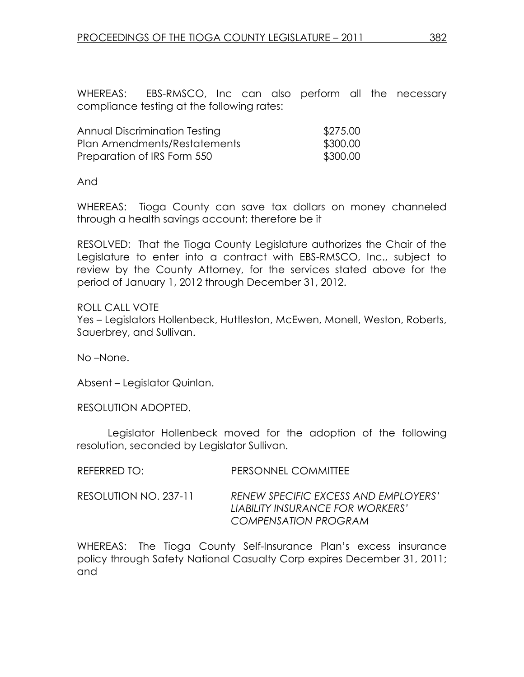WHEREAS: EBS-RMSCO, Inc can also perform all the necessary compliance testing at the following rates:

| Annual Discrimination Testing | \$275.00 |
|-------------------------------|----------|
| Plan Amendments/Restatements  | \$300.00 |
| Preparation of IRS Form 550   | \$300.00 |

And

WHEREAS: Tioga County can save tax dollars on money channeled through a health savings account; therefore be it

RESOLVED: That the Tioga County Legislature authorizes the Chair of the Legislature to enter into a contract with EBS-RMSCO, Inc., subject to review by the County Attorney, for the services stated above for the period of January 1, 2012 through December 31, 2012.

ROLL CALL VOTE Yes – Legislators Hollenbeck, Huttleston, McEwen, Monell, Weston, Roberts, Sauerbrey, and Sullivan.

No –None.

Absent – Legislator Quinlan.

RESOLUTION ADOPTED.

 Legislator Hollenbeck moved for the adoption of the following resolution, seconded by Legislator Sullivan.

| REFERRED TO:          | PERSONNEL COMMITTEE                                                                              |
|-----------------------|--------------------------------------------------------------------------------------------------|
| RESOLUTION NO. 237-11 | RENEW SPECIFIC EXCESS AND EMPLOYERS'<br>LIABILITY INSURANCE FOR WORKERS'<br>COMPENSATION PROGRAM |

WHEREAS: The Tioga County Self-Insurance Plan's excess insurance policy through Safety National Casualty Corp expires December 31, 2011; and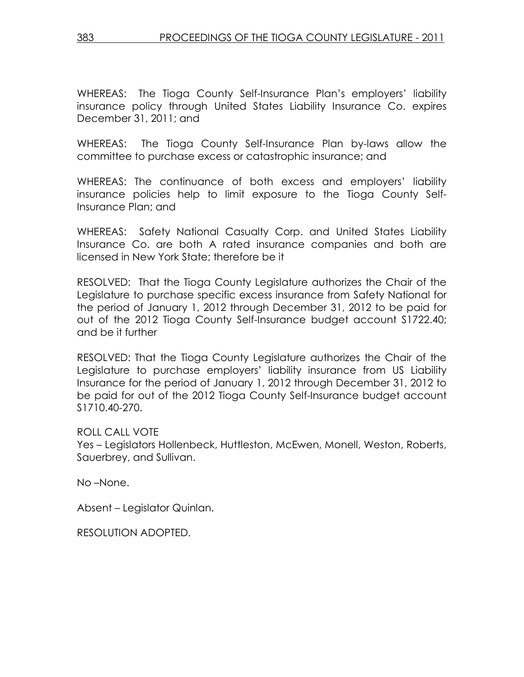WHEREAS: The Tioga County Self-Insurance Plan's employers' liability insurance policy through United States Liability Insurance Co. expires December 31, 2011; and

WHEREAS: The Tioga County Self-Insurance Plan by-laws allow the committee to purchase excess or catastrophic insurance; and

WHEREAS: The continuance of both excess and employers' liability insurance policies help to limit exposure to the Tioga County Self-Insurance Plan; and

WHEREAS: Safety National Casualty Corp. and United States Liability Insurance Co. are both A rated insurance companies and both are licensed in New York State; therefore be it

RESOLVED: That the Tioga County Legislature authorizes the Chair of the Legislature to purchase specific excess insurance from Safety National for the period of January 1, 2012 through December 31, 2012 to be paid for out of the 2012 Tioga County Self-Insurance budget account S1722.40; and be it further

RESOLVED: That the Tioga County Legislature authorizes the Chair of the Legislature to purchase employers' liability insurance from US Liability Insurance for the period of January 1, 2012 through December 31, 2012 to be paid for out of the 2012 Tioga County Self-Insurance budget account S1710.40-270.

ROLL CALL VOTE

Yes – Legislators Hollenbeck, Huttleston, McEwen, Monell, Weston, Roberts, Sauerbrey, and Sullivan.

No –None.

Absent – Legislator Quinlan.

RESOLUTION ADOPTED.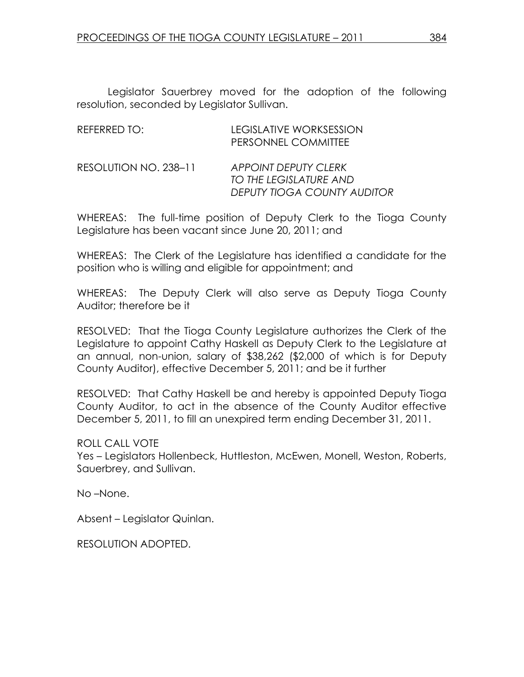Legislator Sauerbrey moved for the adoption of the following resolution, seconded by Legislator Sullivan.

| REFERRED TO:          | LEGISLATIVE WORKSESSION<br>PERSONNEL COMMITTEE                                       |
|-----------------------|--------------------------------------------------------------------------------------|
| RESOLUTION NO. 238-11 | <b>APPOINT DEPUTY CLERK</b><br>TO THE LEGISLATURE AND<br>DEPUTY TIOGA COUNTY AUDITOR |

WHEREAS: The full-time position of Deputy Clerk to the Tioga County Legislature has been vacant since June 20, 2011; and

WHEREAS: The Clerk of the Legislature has identified a candidate for the position who is willing and eligible for appointment; and

WHEREAS: The Deputy Clerk will also serve as Deputy Tioga County Auditor; therefore be it

RESOLVED: That the Tioga County Legislature authorizes the Clerk of the Legislature to appoint Cathy Haskell as Deputy Clerk to the Legislature at an annual, non-union, salary of \$38,262 (\$2,000 of which is for Deputy County Auditor), effective December 5, 2011; and be it further

RESOLVED: That Cathy Haskell be and hereby is appointed Deputy Tioga County Auditor, to act in the absence of the County Auditor effective December 5, 2011, to fill an unexpired term ending December 31, 2011.

ROLL CALL VOTE

Yes – Legislators Hollenbeck, Huttleston, McEwen, Monell, Weston, Roberts, Sauerbrey, and Sullivan.

No –None.

Absent – Legislator Quinlan.

RESOLUTION ADOPTED.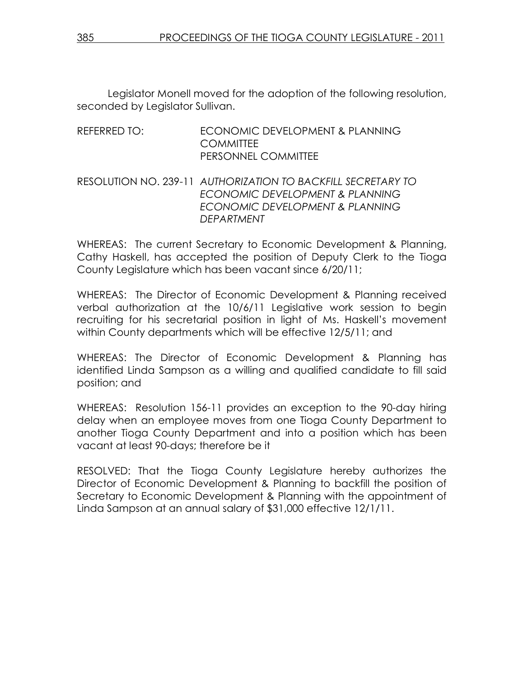Legislator Monell moved for the adoption of the following resolution, seconded by Legislator Sullivan.

## REFERRED TO: ECONOMIC DEVELOPMENT & PLANNING **COMMITTEE** PERSONNEL COMMITTEE

## RESOLUTION NO. 239-11 AUTHORIZATION TO BACKFILL SECRETARY TO ECONOMIC DEVELOPMENT & PLANNING ECONOMIC DEVELOPMENT & PLANNING DEPARTMENT

WHEREAS: The current Secretary to Economic Development & Planning, Cathy Haskell, has accepted the position of Deputy Clerk to the Tioga County Legislature which has been vacant since 6/20/11;

WHEREAS: The Director of Economic Development & Planning received verbal authorization at the 10/6/11 Legislative work session to begin recruiting for his secretarial position in light of Ms. Haskell's movement within County departments which will be effective 12/5/11; and

WHEREAS: The Director of Economic Development & Planning has identified Linda Sampson as a willing and qualified candidate to fill said position; and

WHEREAS: Resolution 156-11 provides an exception to the 90-day hiring delay when an employee moves from one Tioga County Department to another Tioga County Department and into a position which has been vacant at least 90-days; therefore be it

RESOLVED: That the Tioga County Legislature hereby authorizes the Director of Economic Development & Planning to backfill the position of Secretary to Economic Development & Planning with the appointment of Linda Sampson at an annual salary of \$31,000 effective 12/1/11.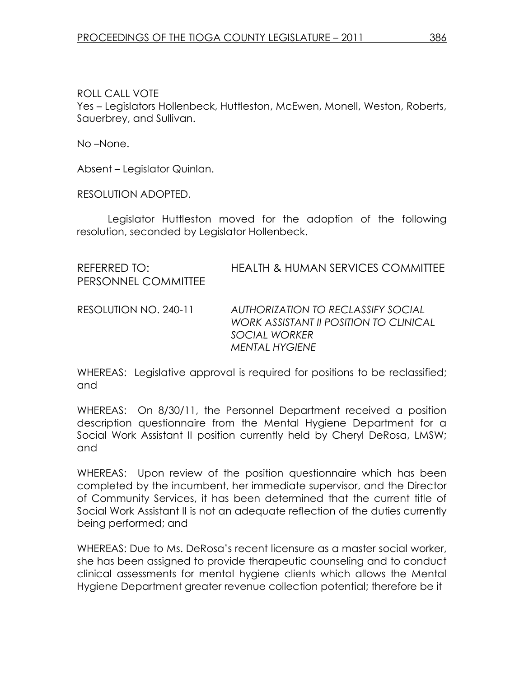ROLL CALL VOTE Yes – Legislators Hollenbeck, Huttleston, McEwen, Monell, Weston, Roberts, Sauerbrey, and Sullivan.

No –None.

Absent – Legislator Quinlan.

RESOLUTION ADOPTED.

 Legislator Huttleston moved for the adoption of the following resolution, seconded by Legislator Hollenbeck.

| REFERRED TO:<br>PERSONNEL COMMITTEE | <b>HEALTH &amp; HUMAN SERVICES COMMITTEE</b>                                                                                  |
|-------------------------------------|-------------------------------------------------------------------------------------------------------------------------------|
| RESOLUTION NO. 240-11               | AUTHORIZATION TO RECLASSIFY SOCIAL<br><b>WORK ASSISTANT II POSITION TO CLINICAL</b><br>SOCIAL WORKER<br><b>MENTAL HYGIENE</b> |

WHEREAS: Legislative approval is required for positions to be reclassified; and

WHEREAS: On 8/30/11, the Personnel Department received a position description questionnaire from the Mental Hygiene Department for a Social Work Assistant II position currently held by Cheryl DeRosa, LMSW; and

WHEREAS: Upon review of the position questionnaire which has been completed by the incumbent, her immediate supervisor, and the Director of Community Services, it has been determined that the current title of Social Work Assistant II is not an adequate reflection of the duties currently being performed; and

WHEREAS: Due to Ms. DeRosa's recent licensure as a master social worker, she has been assigned to provide therapeutic counseling and to conduct clinical assessments for mental hygiene clients which allows the Mental Hygiene Department greater revenue collection potential; therefore be it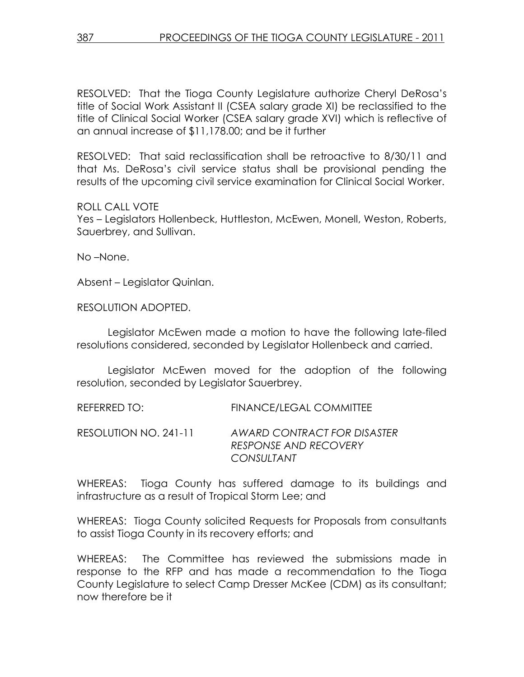RESOLVED: That the Tioga County Legislature authorize Cheryl DeRosa's title of Social Work Assistant II (CSEA salary grade XI) be reclassified to the title of Clinical Social Worker (CSEA salary grade XVI) which is reflective of an annual increase of \$11,178.00; and be it further

RESOLVED: That said reclassification shall be retroactive to 8/30/11 and that Ms. DeRosa's civil service status shall be provisional pending the results of the upcoming civil service examination for Clinical Social Worker.

ROLL CALL VOTE

Yes – Legislators Hollenbeck, Huttleston, McEwen, Monell, Weston, Roberts, Sauerbrey, and Sullivan.

No –None.

Absent – Legislator Quinlan.

RESOLUTION ADOPTED.

 Legislator McEwen made a motion to have the following late-filed resolutions considered, seconded by Legislator Hollenbeck and carried.

 Legislator McEwen moved for the adoption of the following resolution, seconded by Legislator Sauerbrey.

REFERRED TO: FINANCE/LEGAL COMMITTEE RESOLUTION NO. 241-11 AWARD CONTRACT FOR DISASTER RESPONSE AND RECOVERY **CONSULTANT** 

WHEREAS: Tioga County has suffered damage to its buildings and infrastructure as a result of Tropical Storm Lee; and

WHEREAS: Tioga County solicited Requests for Proposals from consultants to assist Tioga County in its recovery efforts; and

WHEREAS: The Committee has reviewed the submissions made in response to the RFP and has made a recommendation to the Tioga County Legislature to select Camp Dresser McKee (CDM) as its consultant; now therefore be it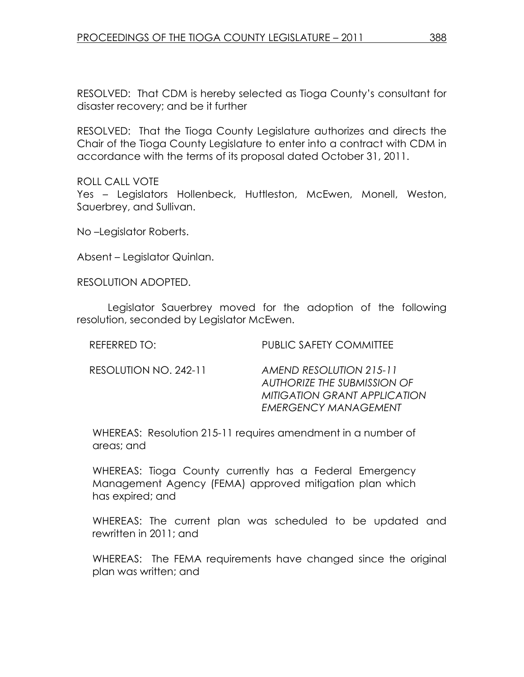RESOLVED: That CDM is hereby selected as Tioga County's consultant for disaster recovery; and be it further

RESOLVED: That the Tioga County Legislature authorizes and directs the Chair of the Tioga County Legislature to enter into a contract with CDM in accordance with the terms of its proposal dated October 31, 2011.

#### ROLL CALL VOTE

Yes – Legislators Hollenbeck, Huttleston, McEwen, Monell, Weston, Sauerbrey, and Sullivan.

No –Legislator Roberts.

Absent – Legislator Quinlan.

RESOLUTION ADOPTED.

 Legislator Sauerbrey moved for the adoption of the following resolution, seconded by Legislator McEwen.

REFERRED TO: PUBLIC SAFETY COMMITTEE

RESOLUTION NO. 242-11 AMEND RESOLUTION 215-11 AUTHORIZE THE SUBMISSION OF MITIGATION GRANT APPLICATION EMERGENCY MANAGEMENT

WHEREAS: Resolution 215-11 requires amendment in a number of areas; and

WHEREAS: Tioga County currently has a Federal Emergency Management Agency (FEMA) approved mitigation plan which has expired; and

WHEREAS: The current plan was scheduled to be updated and rewritten in 2011; and

WHEREAS: The FEMA requirements have changed since the original plan was written; and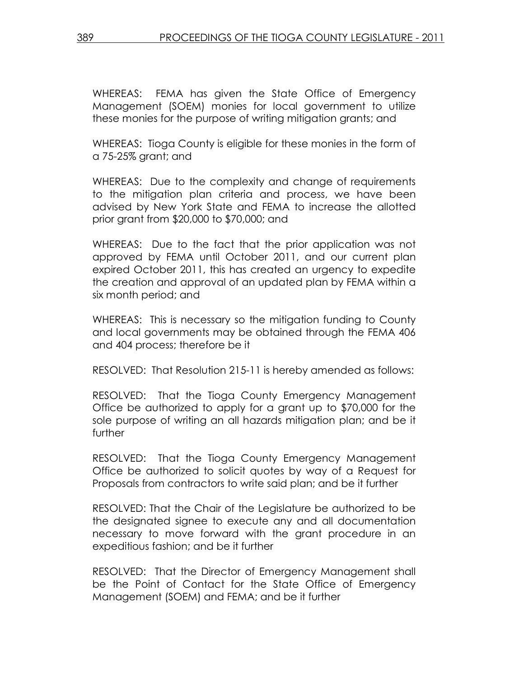WHEREAS: FEMA has given the State Office of Emergency Management (SOEM) monies for local government to utilize these monies for the purpose of writing mitigation grants; and

WHEREAS: Tioga County is eligible for these monies in the form of a 75-25% grant; and

WHEREAS: Due to the complexity and change of requirements to the mitigation plan criteria and process, we have been advised by New York State and FEMA to increase the allotted prior grant from \$20,000 to \$70,000; and

WHEREAS: Due to the fact that the prior application was not approved by FEMA until October 2011, and our current plan expired October 2011, this has created an urgency to expedite the creation and approval of an updated plan by FEMA within a six month period; and

WHEREAS: This is necessary so the mitigation funding to County and local governments may be obtained through the FEMA 406 and 404 process; therefore be it

RESOLVED: That Resolution 215-11 is hereby amended as follows:

RESOLVED: That the Tioga County Emergency Management Office be authorized to apply for a grant up to \$70,000 for the sole purpose of writing an all hazards mitigation plan; and be it further

RESOLVED: That the Tioga County Emergency Management Office be authorized to solicit quotes by way of a Request for Proposals from contractors to write said plan; and be it further

RESOLVED: That the Chair of the Legislature be authorized to be the designated signee to execute any and all documentation necessary to move forward with the grant procedure in an expeditious fashion; and be it further

RESOLVED: That the Director of Emergency Management shall be the Point of Contact for the State Office of Emergency Management (SOEM) and FEMA; and be it further